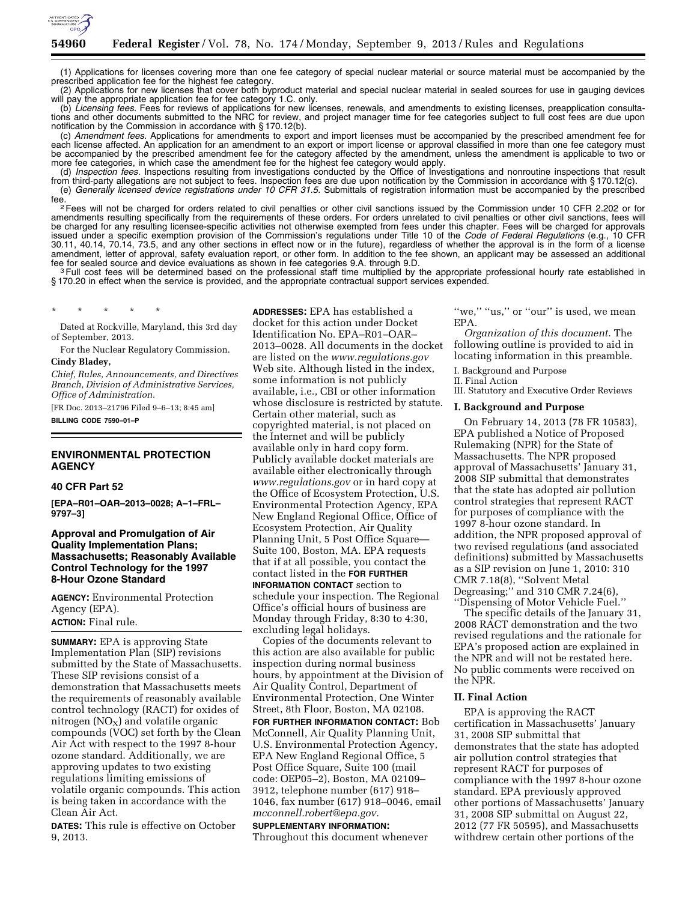

(1) Applications for licenses covering more than one fee category of special nuclear material or source material must be accompanied by the prescribed application fee for the highest fee category.

(2) Applications for new licenses that cover both byproduct material and special nuclear material in sealed sources for use in gauging devices will pay the appropriate application fee for fee category 1.C. only.

(b) *Licensing fees.* Fees for reviews of applications for new licenses, renewals, and amendments to existing licenses, preapplication consultations and other documents submitted to the NRC for review, and project manager time for fee categories subject to full cost fees are due upon notification by the Commission in accordance with § 170.12(b).

(c) *Amendment fees.* Applications for amendments to export and import licenses must be accompanied by the prescribed amendment fee for each license affected. An application for an amendment to an export or import license or approval classified in more than one fee category must be accompanied by the prescribed amendment fee for the category affected by the amendment, unless the amendment is applicable to two or more fee categories, in which case the amendment fee for the highest fee category would apply.

(d) *Inspection fees.* Inspections resulting from investigations conducted by the Office of Investigations and nonroutine inspections that result from third-party allegations are not subject to fees. Inspection fees are due upon notification by the Commission in accordance with § 170.12(c). (e) *Generally licensed device registrations under 10 CFR 31.5.* Submittals of registration information must be accompanied by the prescribed

<sup>2</sup> Fees will not be charged for orders related to civil penalties or other civil sanctions issued by the Commission under 10 CFR 2.202 or for amendments resulting specifically from the requirements of these orders. For orders unrelated to civil penalties or other civil sanctions, fees will be charged for any resulting licensee-specific activities not otherwise exempted from fees under this chapter. Fees will be charged for approvals issued under a specific exemption provision of the Commission's regulations under Title 10 of the *Code of Federal Regulations* (e.g., 10 CFR 30.11, 40.14, 70.14, 73.5, and any other sections in effect now or in the future), regardless of whether the approval is in the form of a license amendment, letter of approval, safety evaluation report, or other form. In addition to the fee shown, an applicant may be assessed an additional<br>fee for sealed source and device evaluations as shown in fee categories 9.A.

fee for sealed source and device evaluations as shown in fee categories 9.A. through 9.D.<br><sup>3</sup> Full cost fees will be determined based on the professional staff time multiplied by the appropriate professional hourly rate es § 170.20 in effect when the service is provided, and the appropriate contractual support services expended.

\* \* \* \* \*

Dated at Rockville, Maryland, this 3rd day of September, 2013.

For the Nuclear Regulatory Commission.

### **Cindy Bladey,**

*Chief, Rules, Announcements, and Directives Branch, Division of Administrative Services, Office of Administration.* 

[FR Doc. 2013–21796 Filed 9–6–13; 8:45 am]

**BILLING CODE 7590–01–P** 

## **ENVIRONMENTAL PROTECTION AGENCY**

### **40 CFR Part 52**

**[EPA–R01–OAR–2013–0028; A–1–FRL– 9797–3]** 

### **Approval and Promulgation of Air Quality Implementation Plans; Massachusetts; Reasonably Available Control Technology for the 1997 8-Hour Ozone Standard**

**AGENCY:** Environmental Protection Agency (EPA).

## **ACTION:** Final rule.

**SUMMARY:** EPA is approving State Implementation Plan (SIP) revisions submitted by the State of Massachusetts. These SIP revisions consist of a demonstration that Massachusetts meets the requirements of reasonably available control technology (RACT) for oxides of nitrogen  $(NO<sub>X</sub>)$  and volatile organic compounds (VOC) set forth by the Clean Air Act with respect to the 1997 8-hour ozone standard. Additionally, we are approving updates to two existing regulations limiting emissions of volatile organic compounds. This action is being taken in accordance with the Clean Air Act.

**DATES:** This rule is effective on October 9, 2013.

**ADDRESSES:** EPA has established a docket for this action under Docket Identification No. EPA–R01–OAR– 2013–0028. All documents in the docket are listed on the *[www.regulations.gov](http://www.regulations.gov)*  Web site. Although listed in the index, some information is not publicly available, i.e., CBI or other information whose disclosure is restricted by statute. Certain other material, such as copyrighted material, is not placed on the Internet and will be publicly available only in hard copy form. Publicly available docket materials are available either electronically through *[www.regulations.gov](http://www.regulations.gov)* or in hard copy at the Office of Ecosystem Protection, U.S. Environmental Protection Agency, EPA New England Regional Office, Office of Ecosystem Protection, Air Quality Planning Unit, 5 Post Office Square— Suite 100, Boston, MA. EPA requests that if at all possible, you contact the contact listed in the **FOR FURTHER INFORMATION CONTACT** section to schedule your inspection. The Regional Office's official hours of business are Monday through Friday, 8:30 to 4:30,

excluding legal holidays. Copies of the documents relevant to this action are also available for public inspection during normal business hours, by appointment at the Division of Air Quality Control, Department of Environmental Protection, One Winter Street, 8th Floor, Boston, MA 02108.

**FOR FURTHER INFORMATION CONTACT:** Bob McConnell, Air Quality Planning Unit, U.S. Environmental Protection Agency, EPA New England Regional Office, 5 Post Office Square, Suite 100 (mail code: OEP05–2), Boston, MA 02109– 3912, telephone number (617) 918– 1046, fax number (617) 918–0046, email *[mcconnell.robert@epa.gov.](mailto:mcconnell.robert@epa.gov)* 

# **SUPPLEMENTARY INFORMATION:**

Throughout this document whenever

"we," "us," or "our" is used, we mean EPA.

*Organization of this document.* The following outline is provided to aid in locating information in this preamble.

I. Background and Purpose

II. Final Action

III. Statutory and Executive Order Reviews

### **I. Background and Purpose**

On February 14, 2013 (78 FR 10583), EPA published a Notice of Proposed Rulemaking (NPR) for the State of Massachusetts. The NPR proposed approval of Massachusetts' January 31, 2008 SIP submittal that demonstrates that the state has adopted air pollution control strategies that represent RACT for purposes of compliance with the 1997 8-hour ozone standard. In addition, the NPR proposed approval of two revised regulations (and associated definitions) submitted by Massachusetts as a SIP revision on June 1, 2010: 310 CMR 7.18(8), ''Solvent Metal Degreasing;'' and 310 CMR 7.24(6), ''Dispensing of Motor Vehicle Fuel.''

The specific details of the January 31, 2008 RACT demonstration and the two revised regulations and the rationale for EPA's proposed action are explained in the NPR and will not be restated here. No public comments were received on the NPR.

#### **II. Final Action**

EPA is approving the RACT certification in Massachusetts' January 31, 2008 SIP submittal that demonstrates that the state has adopted air pollution control strategies that represent RACT for purposes of compliance with the 1997 8-hour ozone standard. EPA previously approved other portions of Massachusetts' January 31, 2008 SIP submittal on August 22, 2012 (77 FR 50595), and Massachusetts withdrew certain other portions of the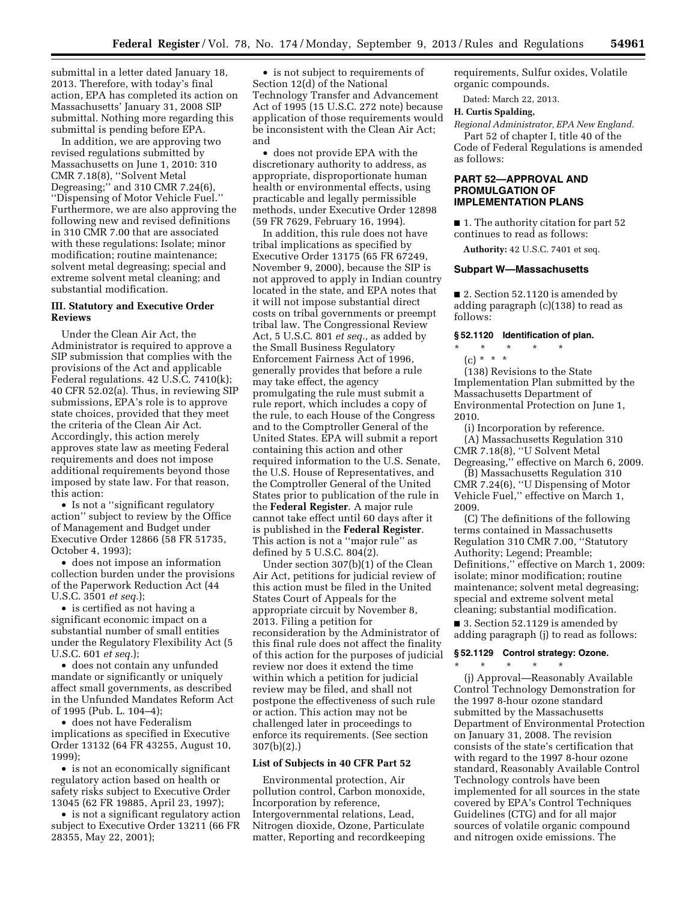submittal in a letter dated January 18, 2013. Therefore, with today's final action, EPA has completed its action on Massachusetts' January 31, 2008 SIP submittal. Nothing more regarding this submittal is pending before EPA.

In addition, we are approving two revised regulations submitted by Massachusetts on June 1, 2010: 310 CMR 7.18(8), ''Solvent Metal Degreasing;'' and 310 CMR 7.24(6), ''Dispensing of Motor Vehicle Fuel.'' Furthermore, we are also approving the following new and revised definitions in 310 CMR 7.00 that are associated with these regulations: Isolate; minor modification; routine maintenance; solvent metal degreasing; special and extreme solvent metal cleaning; and substantial modification.

### **III. Statutory and Executive Order Reviews**

Under the Clean Air Act, the Administrator is required to approve a SIP submission that complies with the provisions of the Act and applicable Federal regulations. 42 U.S.C. 7410(k); 40 CFR 52.02(a). Thus, in reviewing SIP submissions, EPA's role is to approve state choices, provided that they meet the criteria of the Clean Air Act. Accordingly, this action merely approves state law as meeting Federal requirements and does not impose additional requirements beyond those imposed by state law. For that reason, this action:

• Is not a ''significant regulatory action'' subject to review by the Office of Management and Budget under Executive Order 12866 (58 FR 51735, October 4, 1993);

• does not impose an information collection burden under the provisions of the Paperwork Reduction Act (44 U.S.C. 3501 *et seq.*);

• is certified as not having a significant economic impact on a substantial number of small entities under the Regulatory Flexibility Act (5 U.S.C. 601 *et seq.*);

• does not contain any unfunded mandate or significantly or uniquely affect small governments, as described in the Unfunded Mandates Reform Act of 1995 (Pub. L. 104–4);

• does not have Federalism implications as specified in Executive Order 13132 (64 FR 43255, August 10, 1999);

• is not an economically significant regulatory action based on health or safety risks subject to Executive Order 13045 (62 FR 19885, April 23, 1997);

• is not a significant regulatory action subject to Executive Order 13211 (66 FR 28355, May 22, 2001);

• is not subject to requirements of Section 12(d) of the National Technology Transfer and Advancement Act of 1995 (15 U.S.C. 272 note) because application of those requirements would be inconsistent with the Clean Air Act; and

• does not provide EPA with the discretionary authority to address, as appropriate, disproportionate human health or environmental effects, using practicable and legally permissible methods, under Executive Order 12898 (59 FR 7629, February 16, 1994).

In addition, this rule does not have tribal implications as specified by Executive Order 13175 (65 FR 67249, November 9, 2000), because the SIP is not approved to apply in Indian country located in the state, and EPA notes that it will not impose substantial direct costs on tribal governments or preempt tribal law. The Congressional Review Act, 5 U.S.C. 801 *et seq.,* as added by the Small Business Regulatory Enforcement Fairness Act of 1996, generally provides that before a rule may take effect, the agency promulgating the rule must submit a rule report, which includes a copy of the rule, to each House of the Congress and to the Comptroller General of the United States. EPA will submit a report containing this action and other required information to the U.S. Senate, the U.S. House of Representatives, and the Comptroller General of the United States prior to publication of the rule in the **Federal Register**. A major rule cannot take effect until 60 days after it is published in the **Federal Register**. This action is not a ''major rule'' as defined by 5 U.S.C. 804(2).

Under section 307(b)(1) of the Clean Air Act, petitions for judicial review of this action must be filed in the United States Court of Appeals for the appropriate circuit by November 8, 2013. Filing a petition for reconsideration by the Administrator of this final rule does not affect the finality of this action for the purposes of judicial review nor does it extend the time within which a petition for judicial review may be filed, and shall not postpone the effectiveness of such rule or action. This action may not be challenged later in proceedings to enforce its requirements. (See section 307(b)(2).)

#### **List of Subjects in 40 CFR Part 52**

Environmental protection, Air pollution control, Carbon monoxide, Incorporation by reference, Intergovernmental relations, Lead, Nitrogen dioxide, Ozone, Particulate matter, Reporting and recordkeeping requirements, Sulfur oxides, Volatile organic compounds.

Dated: March 22, 2013.

## **H. Curtis Spalding,**

*Regional Administrator, EPA New England.* 

Part 52 of chapter I, title 40 of the Code of Federal Regulations is amended as follows:

### **PART 52—APPROVAL AND PROMULGATION OF IMPLEMENTATION PLANS**

■ 1. The authority citation for part 52 continues to read as follows:

**Authority:** 42 U.S.C. 7401 et seq.

#### **Subpart W—Massachusetts**

■ 2. Section 52.1120 is amended by adding paragraph (c)(138) to read as follows:

#### **§ 52.1120 Identification of plan.**

\* \* \* \* \* (c) \* \* \*

(138) Revisions to the State Implementation Plan submitted by the Massachusetts Department of Environmental Protection on June 1, 2010.

(i) Incorporation by reference. (A) Massachusetts Regulation 310 CMR 7.18(8), ''U Solvent Metal Degreasing,'' effective on March 6, 2009.

(B) Massachusetts Regulation 310 CMR 7.24(6), ''U Dispensing of Motor Vehicle Fuel,'' effective on March 1, 2009.

(C) The definitions of the following terms contained in Massachusetts Regulation 310 CMR 7.00, ''Statutory Authority; Legend; Preamble; Definitions,'' effective on March 1, 2009: isolate; minor modification; routine maintenance; solvent metal degreasing; special and extreme solvent metal cleaning; substantial modification.

■ 3. Section 52.1129 is amended by adding paragraph (j) to read as follows:

#### **§ 52.1129 Control strategy: Ozone.**

\* \* \* \* \*

(j) Approval—Reasonably Available Control Technology Demonstration for the 1997 8-hour ozone standard submitted by the Massachusetts Department of Environmental Protection on January 31, 2008. The revision consists of the state's certification that with regard to the 1997 8-hour ozone standard, Reasonably Available Control Technology controls have been implemented for all sources in the state covered by EPA's Control Techniques Guidelines (CTG) and for all major sources of volatile organic compound and nitrogen oxide emissions. The